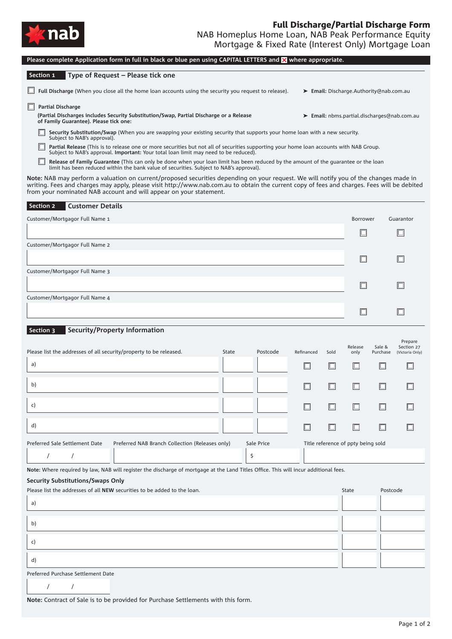

| Please complete Application form in full in black or blue pen using CAPITAL LETTERS and X where appropriate.                                                                                                                                                                                                                                                |                                    |      |           |          |                       |  |  |  |  |  |  |
|-------------------------------------------------------------------------------------------------------------------------------------------------------------------------------------------------------------------------------------------------------------------------------------------------------------------------------------------------------------|------------------------------------|------|-----------|----------|-----------------------|--|--|--|--|--|--|
| Section 1<br>Type of Request - Please tick one                                                                                                                                                                                                                                                                                                              |                                    |      |           |          |                       |  |  |  |  |  |  |
| Full Discharge (When you close all the home loan accounts using the security you request to release).<br>> Email: Discharge.Authority@nab.com.au                                                                                                                                                                                                            |                                    |      |           |          |                       |  |  |  |  |  |  |
| Partial Discharge<br>(Partial Discharges includes Security Substitution/Swap, Partial Discharge or a Release<br>> Email: nbms.partial.discharges@nab.com.au<br>of Family Guarantee). Please tick one:                                                                                                                                                       |                                    |      |           |          |                       |  |  |  |  |  |  |
| Security Substitution/Swap (When you are swapping your existing security that supports your home loan with a new security.<br>Subject to NAB's approval).                                                                                                                                                                                                   |                                    |      |           |          |                       |  |  |  |  |  |  |
| Partial Release (This is to release one or more securities but not all of securities supporting your home loan accounts with NAB Group.<br>Subject to NAB's approval. Important: Your total loan limit may need to be reduced).                                                                                                                             |                                    |      |           |          |                       |  |  |  |  |  |  |
| Release of Family Guarantee (This can only be done when your loan limit has been reduced by the amount of the guarantee or the loan<br>limit has been reduced within the bank value of securities. Subject to NAB's approval).                                                                                                                              |                                    |      |           |          |                       |  |  |  |  |  |  |
| Note: NAB may perform a valuation on current/proposed securities depending on your request. We will notify you of the changes made in<br>writing. Fees and charges may apply, please visit http://www.nab.com.au to obtain the current copy of fees and charges. Fees will be debited<br>from your nominated NAB account and will appear on your statement. |                                    |      |           |          |                       |  |  |  |  |  |  |
| <b>Customer Details</b><br>Section 2                                                                                                                                                                                                                                                                                                                        |                                    |      |           |          |                       |  |  |  |  |  |  |
| Customer/Mortgagor Full Name 1                                                                                                                                                                                                                                                                                                                              | Borrower                           |      | Guarantor |          |                       |  |  |  |  |  |  |
|                                                                                                                                                                                                                                                                                                                                                             |                                    |      | ப         |          |                       |  |  |  |  |  |  |
| Customer/Mortgagor Full Name 2                                                                                                                                                                                                                                                                                                                              |                                    |      |           |          |                       |  |  |  |  |  |  |
|                                                                                                                                                                                                                                                                                                                                                             |                                    |      | □         |          |                       |  |  |  |  |  |  |
| Customer/Mortgagor Full Name 3                                                                                                                                                                                                                                                                                                                              |                                    |      | ப         |          |                       |  |  |  |  |  |  |
| Customer/Mortgagor Full Name 4                                                                                                                                                                                                                                                                                                                              |                                    |      |           |          |                       |  |  |  |  |  |  |
|                                                                                                                                                                                                                                                                                                                                                             |                                    |      | □         |          |                       |  |  |  |  |  |  |
| <b>Security/Property Information</b><br>Section 3                                                                                                                                                                                                                                                                                                           |                                    |      |           |          |                       |  |  |  |  |  |  |
|                                                                                                                                                                                                                                                                                                                                                             |                                    |      | Release   | Sale &   | Prepare<br>Section 27 |  |  |  |  |  |  |
| Please list the addresses of all security/property to be released.<br>Postcode<br>State                                                                                                                                                                                                                                                                     | Refinanced                         | Sold | only      | Purchase | (Victoria Only)       |  |  |  |  |  |  |
| a)                                                                                                                                                                                                                                                                                                                                                          |                                    |      | IШ        | L        |                       |  |  |  |  |  |  |
| b)                                                                                                                                                                                                                                                                                                                                                          | □                                  |      | Io        |          |                       |  |  |  |  |  |  |
| c)                                                                                                                                                                                                                                                                                                                                                          | $\Box$                             |      | Ш         |          |                       |  |  |  |  |  |  |
| d)                                                                                                                                                                                                                                                                                                                                                          | $\Box$                             |      | $\Box$    | □        |                       |  |  |  |  |  |  |
| Preferred Sale Settlement Date<br>Preferred NAB Branch Collection (Releases only)<br>Sale Price                                                                                                                                                                                                                                                             | Title reference of ppty being sold |      |           |          |                       |  |  |  |  |  |  |
| \$<br>$\prime$                                                                                                                                                                                                                                                                                                                                              |                                    |      |           |          |                       |  |  |  |  |  |  |
| Note: Where required by law, NAB will reqister the discharge of mortgage at the Land Titles Office. This will incur additional fees.                                                                                                                                                                                                                        |                                    |      |           |          |                       |  |  |  |  |  |  |
| Security Substitutions/Swaps Only<br>Please list the addresses of all NEW securities to be added to the loan.                                                                                                                                                                                                                                               |                                    |      | State     | Postcode |                       |  |  |  |  |  |  |
| a)                                                                                                                                                                                                                                                                                                                                                          |                                    |      |           |          |                       |  |  |  |  |  |  |
| b)                                                                                                                                                                                                                                                                                                                                                          |                                    |      |           |          |                       |  |  |  |  |  |  |
| c)                                                                                                                                                                                                                                                                                                                                                          |                                    |      |           |          |                       |  |  |  |  |  |  |
| d)                                                                                                                                                                                                                                                                                                                                                          |                                    |      |           |          |                       |  |  |  |  |  |  |
| Preferred Purchase Settlement Date                                                                                                                                                                                                                                                                                                                          |                                    |      |           |          |                       |  |  |  |  |  |  |
| $\prime$<br>$\sqrt{2}$                                                                                                                                                                                                                                                                                                                                      |                                    |      |           |          |                       |  |  |  |  |  |  |

**Note:** Contract of Sale is to be provided for Purchase Settlements with this form.